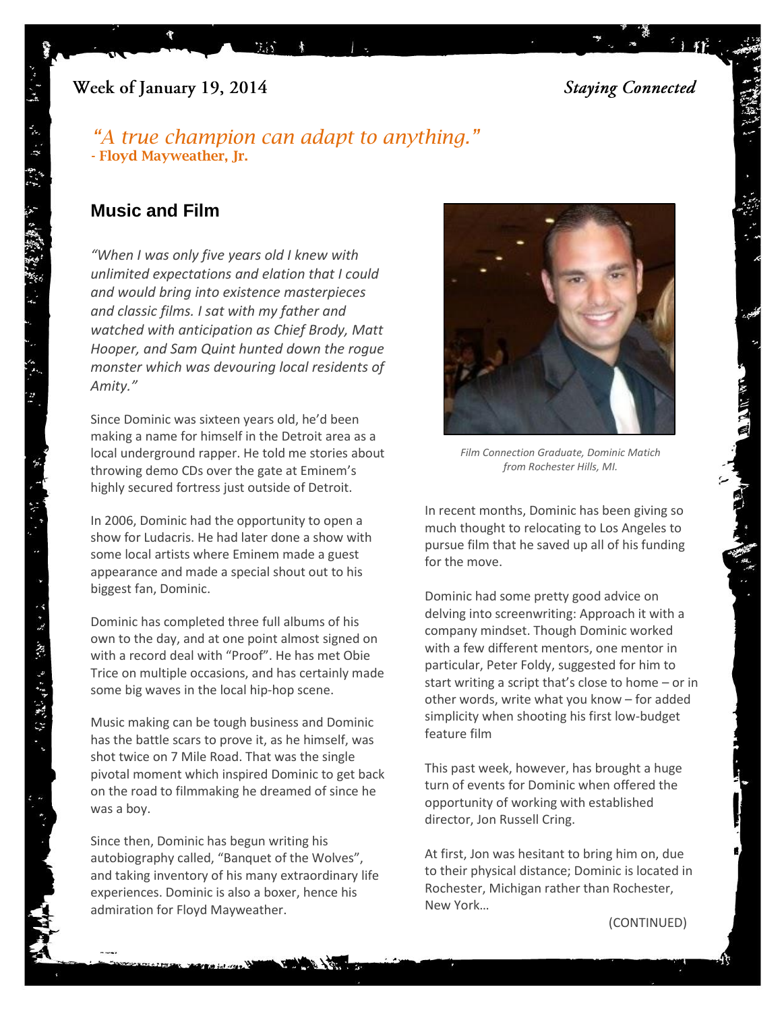# Week of January 19, 2014

**Staying Connected** 

# *"[A true champion can adapt to anything.](http://www.brainyquote.com/quotes/quotes/f/floydmaywe430455.html)"* **- [Floyd Mayweather, Jr.](http://www.brainyquote.com/quotes/quotes/f/floydmaywe430455.html)**

 $\mathcal{G}_4$  )

# **Music and Film**

 $\mathcal{R}$  .

*"When I was only five years old I knew with unlimited expectations and elation that I could and would bring into existence masterpieces and classic films. I sat with my father and watched with anticipation as Chief Brody, Matt Hooper, and Sam Quint hunted down the rogue monster which was devouring local residents of Amity."*

Since Dominic was sixteen years old, he'd been making a name for himself in the Detroit area as a local underground rapper. He told me stories about throwing demo CDs over the gate at Eminem's highly secured fortress just outside of Detroit.

In 2006, Dominic had the opportunity to open a show for Ludacris. He had later done a show with some local artists where Eminem made a guest appearance and made a special shout out to his biggest fan, Dominic.

Dominic has completed three full albums of his own to the day, and at one point almost signed on with a record deal with "Proof". He has met Obie Trice on multiple occasions, and has certainly made some big waves in the local hip-hop scene.

Music making can be tough business and Dominic has the battle scars to prove it, as he himself, was shot twice on 7 Mile Road. That was the single pivotal moment which inspired Dominic to get back on the road to filmmaking he dreamed of since he was a boy.

Since then, Dominic has begun writing his autobiography called, "Banquet of the Wolves", and taking inventory of his many extraordinary life experiences. Dominic is also a boxer, hence his admiration for Floyd Mayweather.



*Film Connection Graduate, Dominic Matich from Rochester Hills, MI.*

In recent months, Dominic has been giving so much thought to relocating to Los Angeles to pursue film that he saved up all of his funding for the move.

Dominic had some pretty good advice on delving into screenwriting: Approach it with a company mindset. Though Dominic worked with a few different mentors, one mentor in particular, Peter Foldy, suggested for him to start writing a script that's close to home – or in other words, write what you know – for added simplicity when shooting his first low-budget feature film

This past week, however, has brought a huge turn of events for Dominic when offered the opportunity of working with established director, Jon Russell Cring.

At first, Jon was hesitant to bring him on, due to their physical distance; Dominic is located in Rochester, Michigan rather than Rochester, New York…

(CONTINUED)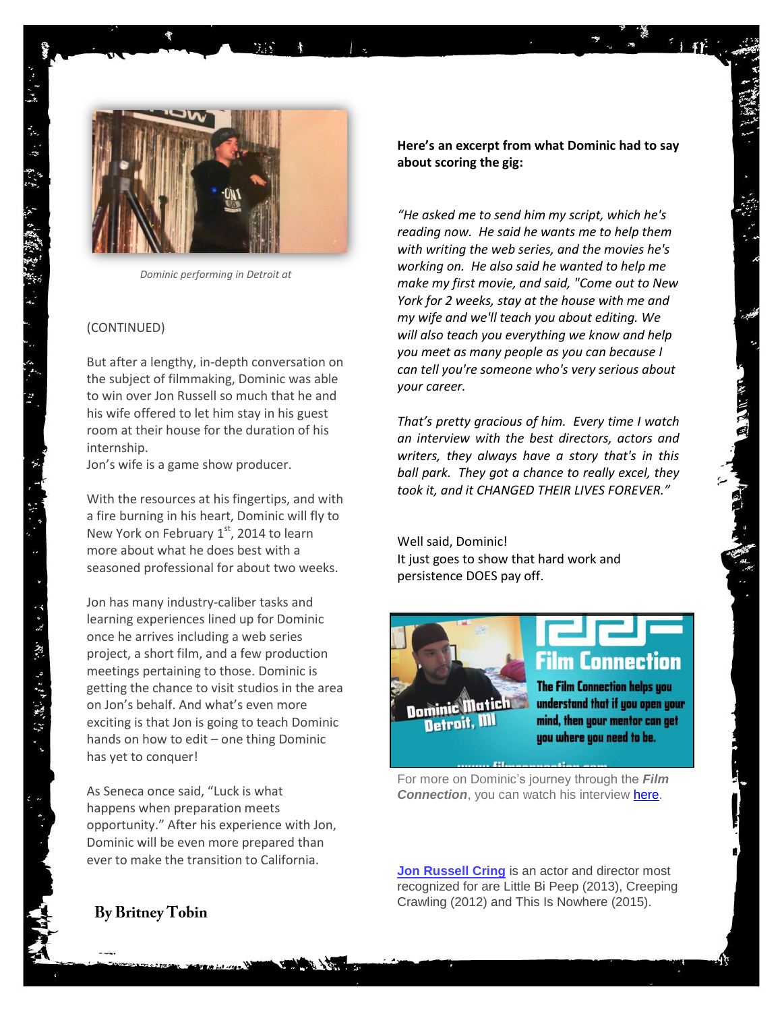

*Dominic performing in Detroit at* 

#### (CONTINUED)

But after a lengthy, in-depth conversation on the subject of filmmaking, Dominic was able to win over Jon Russell so much that he and his wife offered to let him stay in his guest room at their house for the duration of his internship.

Jon's wife is a game show producer.

With the resources at his fingertips, and with a fire burning in his heart, Dominic will fly to New York on February  $1<sup>st</sup>$ , 2014 to learn more about what he does best with a seasoned professional for about two weeks.

Jon has many industry-caliber tasks and learning experiences lined up for Dominic once he arrives including a web series project, a short film, and a few production meetings pertaining to those. Dominic is getting the chance to visit studios in the area on Jon's behalf. And what's even more exciting is that Jon is going to teach Dominic hands on how to edit – one thing Dominic has yet to conquer!

[opportunity.](https://www.google.com/url?sa=t&rct=j&q=&esrc=s&source=web&cd=2&cad=rja&ved=0CDwQFjAB&url=http%3A%2F%2Fthinkexist.com%2Fquotation%2Fluck_is_what_happens_when_preparation_meets%2F11990.html&ei=S9_eUrnXO86JogSBk4HYBA&usg=AFQjCNFLpT-8pZMhOT7WXwJWBlI6UPSOWw&sig2=Qcy8LDEZ961p0_hwRmDgsw&bvm=bv.59568121,d.cGU)" After his experience with Jon, Dominic will be even more prepared than As Seneca once said, "[Luck is what](https://www.google.com/url?sa=t&rct=j&q=&esrc=s&source=web&cd=2&cad=rja&ved=0CDwQFjAB&url=http%3A%2F%2Fthinkexist.com%2Fquotation%2Fluck_is_what_happens_when_preparation_meets%2F11990.html&ei=S9_eUrnXO86JogSBk4HYBA&usg=AFQjCNFLpT-8pZMhOT7WXwJWBlI6UPSOWw&sig2=Qcy8LDEZ961p0_hwRmDgsw&bvm=bv.59568121,d.cGU)  happens [when preparation meets](https://www.google.com/url?sa=t&rct=j&q=&esrc=s&source=web&cd=2&cad=rja&ved=0CDwQFjAB&url=http%3A%2F%2Fthinkexist.com%2Fquotation%2Fluck_is_what_happens_when_preparation_meets%2F11990.html&ei=S9_eUrnXO86JogSBk4HYBA&usg=AFQjCNFLpT-8pZMhOT7WXwJWBlI6UPSOWw&sig2=Qcy8LDEZ961p0_hwRmDgsw&bvm=bv.59568121,d.cGU)  ever to make the transition to California.

### **Here's an excerpt from what Dominic had to say about scoring the gig:**

*"He asked me to send him my script, which he's reading now. He said he wants me to help them with writing the web series, and the movies he's working on. He also said he wanted to help me make my first movie, and said, "Come out to New York for 2 weeks, stay at the house with me and my wife and we'll teach you about editing. We will also teach you everything we know and help you meet as many people as you can because I can tell you're someone who's very serious about your career.* 

*That's pretty gracious of him. Every time I watch an interview with the best directors, actors and writers, they always have a story that's in this ball park. They got a chance to really excel, they took it, and it CHANGED THEIR LIVES FOREVER."*

Well said, Dominic! It just goes to show that hard work and persistence DOES pay off.



# **Film Connection**

The Film Connection helps you understand that if you open your mind, then your mentor can get you where you need to be.

For more on Dominic's journey through the *Film* **Connection**, you can watch his interview **[here.](http://www.youtube.com/watch?v=6z1ODuaHlNU)** 

recontractor de la desembre de la production de la production de la production de la production de la producti<br>Referències **[Jon Russell Cring](http://www.imdb.com/name/nm2625253/)** is an actor and director most recognized for are Little Bi Peep (2013), Creeping Crawling (2012) and This Is Nowhere (2015).

## **By Britney Tobin**

"不是,我们的人的事,我们